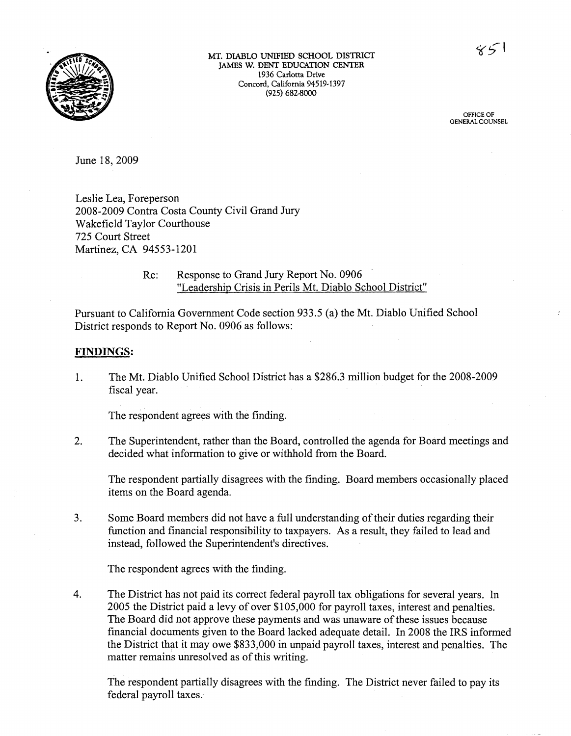**MT.** DIABLO UNIFIED SCHOOL DISTRICT JAMES **W. DENT EDUCATION CENTER 1936 Carlotta Drive Concord, California 94519-1397 (925)** 682-8000

> **OFFICE OF GENERAL COUNSEL**

June 18,2009

Leslie Lea, Foreperson 2008-2009 Contra Costa County Civil Grand Jury Wakefield Taylor Courthouse 725 Court Street Martinez, CA 94553-1201

## Re: Response to Grand Jury Report No.. 0906 "Leadership Crisis in Perils Mt. Diablo School District"

Pursuant to California Government Code section 933.5 (a) the Mt. Diablo Unified School District responds to Report No. 0906 as follows:

## **FINDINGS** :

1. The Mt. Diablo Unified School District has a \$286.3 million budget for the 2008-2009 fiscal year.

The respondent agrees with the finding.

2. The Superintendent, rather than the Board, controlled the agenda for Board meetings and decided what information to give or withhold from the Board.

The respondent partially disagrees with the finding. Board members occasionally placed items on the Board agenda.

3. Some Board members did not have a full understanding of their duties regarding their function and financial responsibility to taxpayers. As a result, they failed to lead and instead, followed the Superintendent's directives.

The respondent agrees with the finding.

4. The District has not paid its correct federal payroll tax obligations for several years. In 2005 the District paid a levy of over \$105,000 for payroll taxes, interest and penalties. The Board did not approve these payments and was unaware of these issues because financial documents given to the Board lacked adequate detail. In 2008 the IRS informed the District that it may owe \$833,000 in unpaid payroll taxes, interest and penalties. The matter remains unresolved as of this writing.

The respondent partially disagrees with the finding. The District never failed to pay its federal payroll taxes.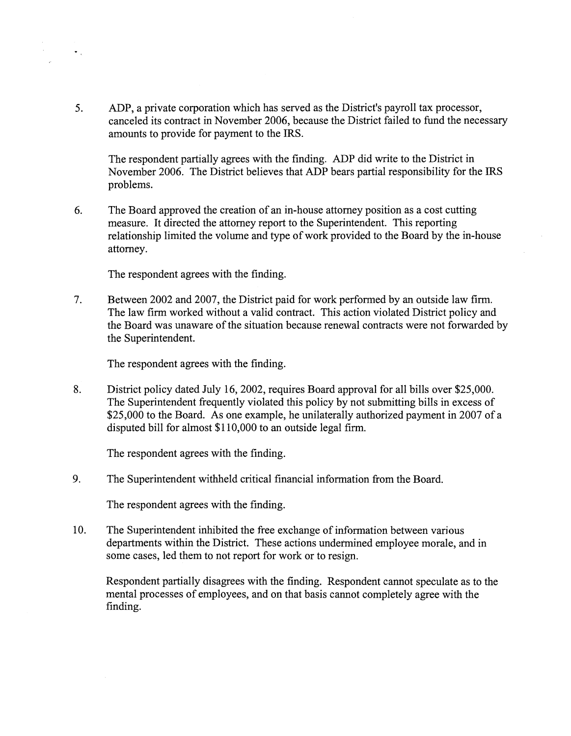5. ADP, a private corporation which has served as the District's payroll tax processor, canceled its contract in November 2006, because the District failed to fund the necessary amounts to provide for payment to the IRS.

The respondent partially agrees with the finding. ADP did write to the District in November 2006. The District believes that ADP bears partial responsibility for the IRS problems.

*6.* The Board approved the creation of an in-house attorney position as a cost cutting measure. It directed the attorney report to the Superintendent. This reporting relationship limited the volume and type of work provided to the Board by the in-house attorney.

The respondent agrees with the finding.

 $\bullet$  .

7. Between 2002 and 2007, the District paid for work performed by an outside law firm. The law firm worked without a valid contract. This action violated District policy and the Board was unaware of the situation because renewal contracts were not forwarded by the Superintendent.

The respondent agrees with the finding.

8. District policy dated July 16,2002, requires Board approval for all bills over \$25,000. The Superintendent frequently violated this policy by not submitting bills in excess of \$25,000 to the Board. As one example, he unilaterally authorized payment in 2007 of a disputed bill for almost \$1 10,000 to an outside legal firm.

The respondent agrees with the finding.

9. The Superintendent withheld critical financial information from the Board.

The respondent agrees with the finding.

10. The Superintendent inhibited the free exchange of informatien between various departments within the District. These actions undermined employee morale, and in some cases, led them to not report for work or to resign.

Respondent partially disagrees with the finding. Respondent cannot speculate as to the mental processes of employees, and on that basis cannot completely agree with the finding.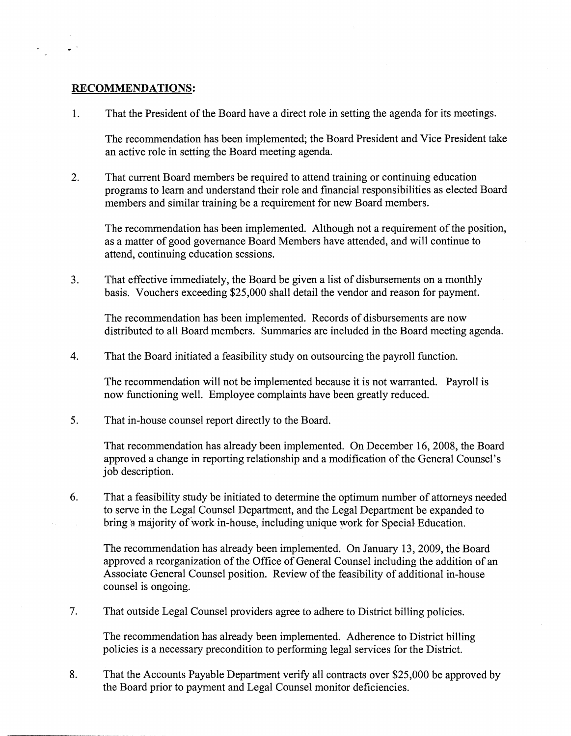## **RECOMMENDATIONS:**

 $\bullet$   $^{-1}$ 

That the President of the Board have a direct role in setting the agenda for its meetings. 1.

The recommendation has been implemented; the Board President and Vice President take an active role in setting the Board meeting agenda.

 $2<sub>1</sub>$ That current Board members be required to attend training or continuing education programs to learn and understand their role and financial responsibilities as elected Board members and similar training be a requirement for new Board members.

The recommendation has been implemented. Although not a requirement of the position, as a matter of good governance Board Members have attended, and will continue to attend, continuing education sessions.

 $3<sub>1</sub>$ That effective immediately, the Board be given a list of disbursements on a monthly basis. Vouchers exceeding \$25,000 shall detail the vendor and reason for payment.

The recommendation has been implemented. Records of disbursements are now distributed to all Board members. Summaries are included in the Board meeting agenda.

 $\overline{4}$ . That the Board initiated a feasibility study on outsourcing the payroll function.

The recommendation will not be implemented because it is not warranted. Payroll is now functioning well. Employee complaints have been greatly reduced.

5. That in-house counsel report directly to the Board.

> That recommendation has already been implemented. On December 16,2008, the Board approved a change in reporting relationship and a modification of the General Counsel's job description.

6. That a feasibility study be initiated to determine the optimum number of attorneys needed to serve in the Legal Counsel Department, and the Legal Department be expanded to bring a majority of work in-house, including unique work for Special Education.

The recommendation has already been implemented. On January 13,2009, the Board approved a reorganization of the Office of General Counsel including the addition of an Associate General Counsel position. Review of the feasibility of additional in-house counsel is ongoing.

7. That outside Legal Counsel providers agree to adhere to District billing policies.

The recommendation has already been implemented. Adherence to District billing policies is a necessary precondition to performing legal services for the District.

8. That the Accounts Payable Department verify all contracts over \$25,000 be approved by the Board prior to payment and Legal Counsel monitor deficiencies.